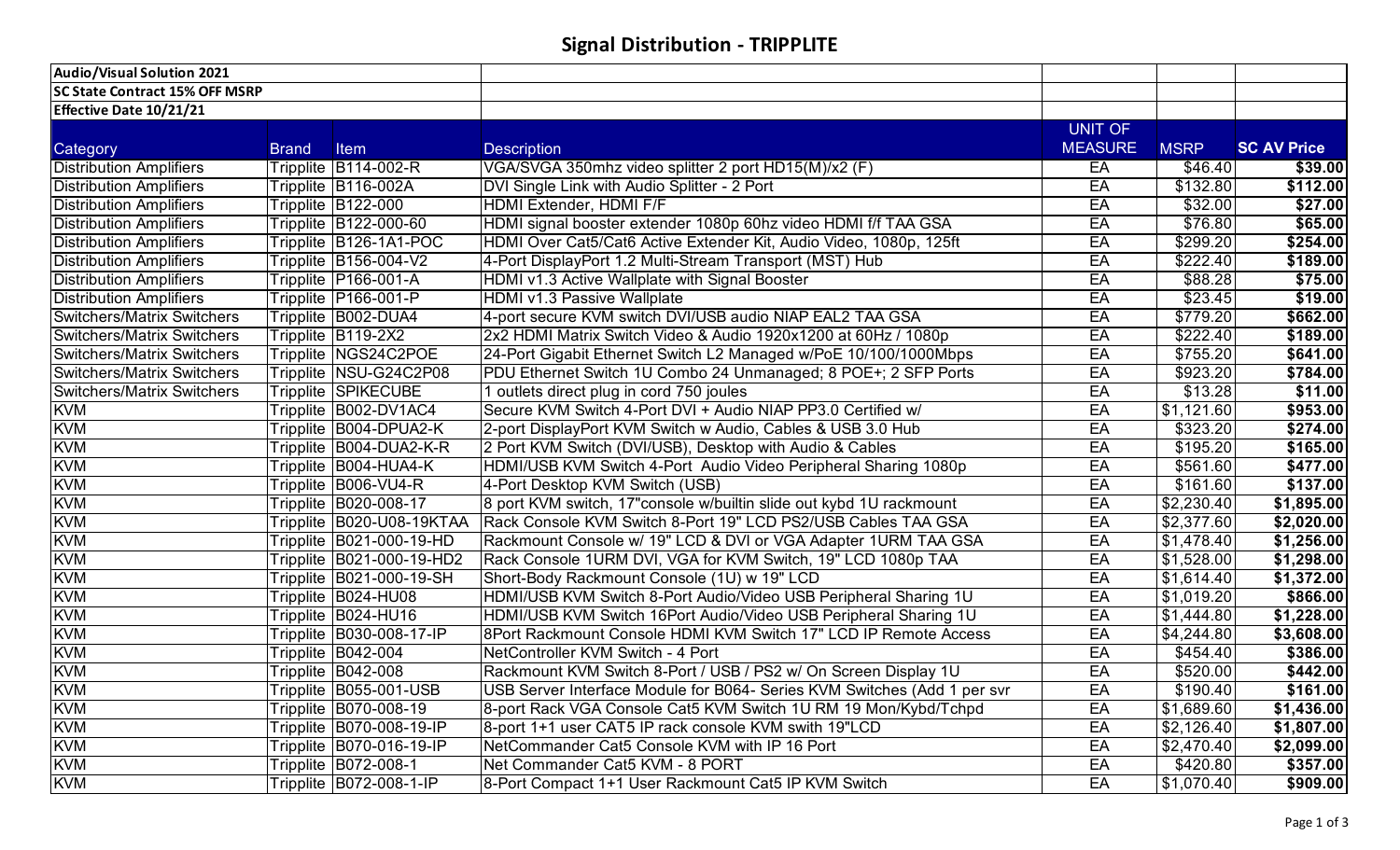## **Signal Distribution - TRIPPLITE**

| Audio/Visual Solution 2021            |              |                              |                                                                          |                |             |                    |
|---------------------------------------|--------------|------------------------------|--------------------------------------------------------------------------|----------------|-------------|--------------------|
| <b>SC State Contract 15% OFF MSRP</b> |              |                              |                                                                          |                |             |                    |
| Effective Date 10/21/21               |              |                              |                                                                          |                |             |                    |
|                                       |              |                              |                                                                          | <b>UNIT OF</b> |             |                    |
| Category                              | <b>Brand</b> | Item                         | <b>Description</b>                                                       | <b>MEASURE</b> | <b>MSRP</b> | <b>SC AV Price</b> |
| <b>Distribution Amplifiers</b>        |              | Tripplite B114-002-R         | VGA/SVGA 350mhz video splitter 2 port HD15(M)/x2 (F)                     | EA             | \$46.40     | \$39.00            |
| <b>Distribution Amplifiers</b>        |              | Tripplite B116-002A          | DVI Single Link with Audio Splitter - 2 Port                             | EA             | \$132.80    | \$112.00           |
| <b>Distribution Amplifiers</b>        |              | Tripplite B122-000           | HDMI Extender, HDMI F/F                                                  | EA             | \$32.00     | \$27.00            |
| <b>Distribution Amplifiers</b>        |              | <b>Tripplite B122-000-60</b> | HDMI signal booster extender 1080p 60hz video HDMI f/f TAA GSA           | EA             | \$76.80     | \$65.00            |
| <b>Distribution Amplifiers</b>        |              | Tripplite B126-1A1-POC       | HDMI Over Cat5/Cat6 Active Extender Kit, Audio Video, 1080p, 125ft       | EA             | \$299.20    | \$254.00           |
| <b>Distribution Amplifiers</b>        |              | Tripplite B156-004-V2        | 4-Port DisplayPort 1.2 Multi-Stream Transport (MST) Hub                  | EA             | \$222.40    | \$189.00           |
| <b>Distribution Amplifiers</b>        |              | Tripplite P166-001-A         | HDMI v1.3 Active Wallplate with Signal Booster                           | EA             | \$88.28     | \$75.00            |
| <b>Distribution Amplifiers</b>        |              | Tripplite P166-001-P         | HDMI v1.3 Passive Wallplate                                              | EA             | \$23.45     | \$19.00            |
| <b>Switchers/Matrix Switchers</b>     |              | Tripplite B002-DUA4          | 4-port secure KVM switch DVI/USB audio NIAP EAL2 TAA GSA                 | EA             | \$779.20    | \$662.00           |
| <b>Switchers/Matrix Switchers</b>     |              | Tripplite B119-2X2           | 2x2 HDMI Matrix Switch Video & Audio 1920x1200 at 60Hz / 1080p           | EA             | \$222.40    | \$189.00           |
| <b>Switchers/Matrix Switchers</b>     |              | Tripplite NGS24C2POE         | 24-Port Gigabit Ethernet Switch L2 Managed w/PoE 10/100/1000Mbps         | EA             | \$755.20    | \$641.00           |
| <b>Switchers/Matrix Switchers</b>     |              | Tripplite NSU-G24C2P08       | PDU Ethernet Switch 1U Combo 24 Unmanaged; 8 POE+; 2 SFP Ports           | EA             | \$923.20    | \$784.00           |
| <b>Switchers/Matrix Switchers</b>     |              | <b>Tripplite SPIKECUBE</b>   | 1 outlets direct plug in cord 750 joules                                 | EA             | \$13.28     | \$11.00            |
| <b>KVM</b>                            |              | Tripplite B002-DV1AC4        | Secure KVM Switch 4-Port DVI + Audio NIAP PP3.0 Certified w/             | EA             | \$1,121.60  | \$953.00           |
| <b>KVM</b>                            |              | Tripplite B004-DPUA2-K       | 2-port DisplayPort KVM Switch w Audio, Cables & USB 3.0 Hub              | EA             | \$323.20    | \$274.00           |
| <b>KVM</b>                            |              | Tripplite B004-DUA2-K-R      | 2 Port KVM Switch (DVI/USB), Desktop with Audio & Cables                 | EA             | \$195.20    | \$165.00           |
| <b>KVM</b>                            |              | Tripplite B004-HUA4-K        | HDMI/USB KVM Switch 4-Port Audio Video Peripheral Sharing 1080p          | EA             | \$561.60    | \$477.00           |
| <b>KVM</b>                            |              | Tripplite B006-VU4-R         | 4-Port Desktop KVM Switch (USB)                                          | EA             | \$161.60    | \$137.00           |
| <b>KVM</b>                            |              | Tripplite B020-008-17        | 8 port KVM switch, 17"console w/builtin slide out kybd 1U rackmount      | EA             | \$2,230.40  | \$1,895.00         |
| <b>KVM</b>                            |              | Tripplite B020-U08-19KTAA    | Rack Console KVM Switch 8-Port 19" LCD PS2/USB Cables TAA GSA            | EA             | \$2,377.60  | \$2,020.00         |
| <b>KVM</b>                            |              | Tripplite B021-000-19-HD     | Rackmount Console w/ 19" LCD & DVI or VGA Adapter 1URM TAA GSA           | EA             | \$1,478.40  | \$1,256.00         |
| <b>KVM</b>                            |              | Tripplite B021-000-19-HD2    | Rack Console 1URM DVI, VGA for KVM Switch, 19" LCD 1080p TAA             | EA             | \$1,528.00  | \$1,298.00         |
| <b>KVM</b>                            |              | Tripplite B021-000-19-SH     | Short-Body Rackmount Console (1U) w 19" LCD                              | EA             | \$1,614.40  | \$1,372.00         |
| <b>KVM</b>                            |              | Tripplite B024-HU08          | HDMI/USB KVM Switch 8-Port Audio/Video USB Peripheral Sharing 1U         | EA             | \$1,019.20  | \$866.00           |
| <b>KVM</b>                            |              | Tripplite B024-HU16          | HDMI/USB KVM Switch 16Port Audio/Video USB Peripheral Sharing 1U         | EA             | \$1,444.80  | \$1,228.00         |
| <b>KVM</b>                            |              | Tripplite B030-008-17-IP     | 8Port Rackmount Console HDMI KVM Switch 17" LCD IP Remote Access         | EA             | \$4,244.80  | \$3,608.00         |
| <b>KVM</b>                            |              | Tripplite B042-004           | NetController KVM Switch - 4 Port                                        | EA             | \$454.40    | \$386.00           |
| <b>KVM</b>                            |              | Tripplite B042-008           | Rackmount KVM Switch 8-Port / USB / PS2 w/ On Screen Display 1U          | EA             | \$520.00    | \$442.00           |
| <b>KVM</b>                            |              | Tripplite B055-001-USB       | USB Server Interface Module for B064- Series KVM Switches (Add 1 per svr | EA             | \$190.40    | \$161.00           |
| <b>KVM</b>                            |              | Tripplite B070-008-19        | 8-port Rack VGA Console Cat5 KVM Switch 1U RM 19 Mon/Kybd/Tchpd          | EA             | \$1,689.60  | \$1,436.00         |
| <b>KVM</b>                            |              | Tripplite B070-008-19-IP     | 8-port 1+1 user CAT5 IP rack console KVM swith 19"LCD                    | EA             | \$2,126.40  | \$1,807.00         |
| <b>KVM</b>                            |              | Tripplite B070-016-19-IP     | NetCommander Cat5 Console KVM with IP 16 Port                            | EA             | \$2,470.40  | \$2,099.00         |
| <b>KVM</b>                            |              | Tripplite B072-008-1         | Net Commander Cat5 KVM - 8 PORT                                          | EA             | \$420.80    | \$357.00           |
| <b>KVM</b>                            |              | Tripplite B072-008-1-IP      | 8-Port Compact 1+1 User Rackmount Cat5 IP KVM Switch                     | EA             | \$1,070.40  | \$909.00           |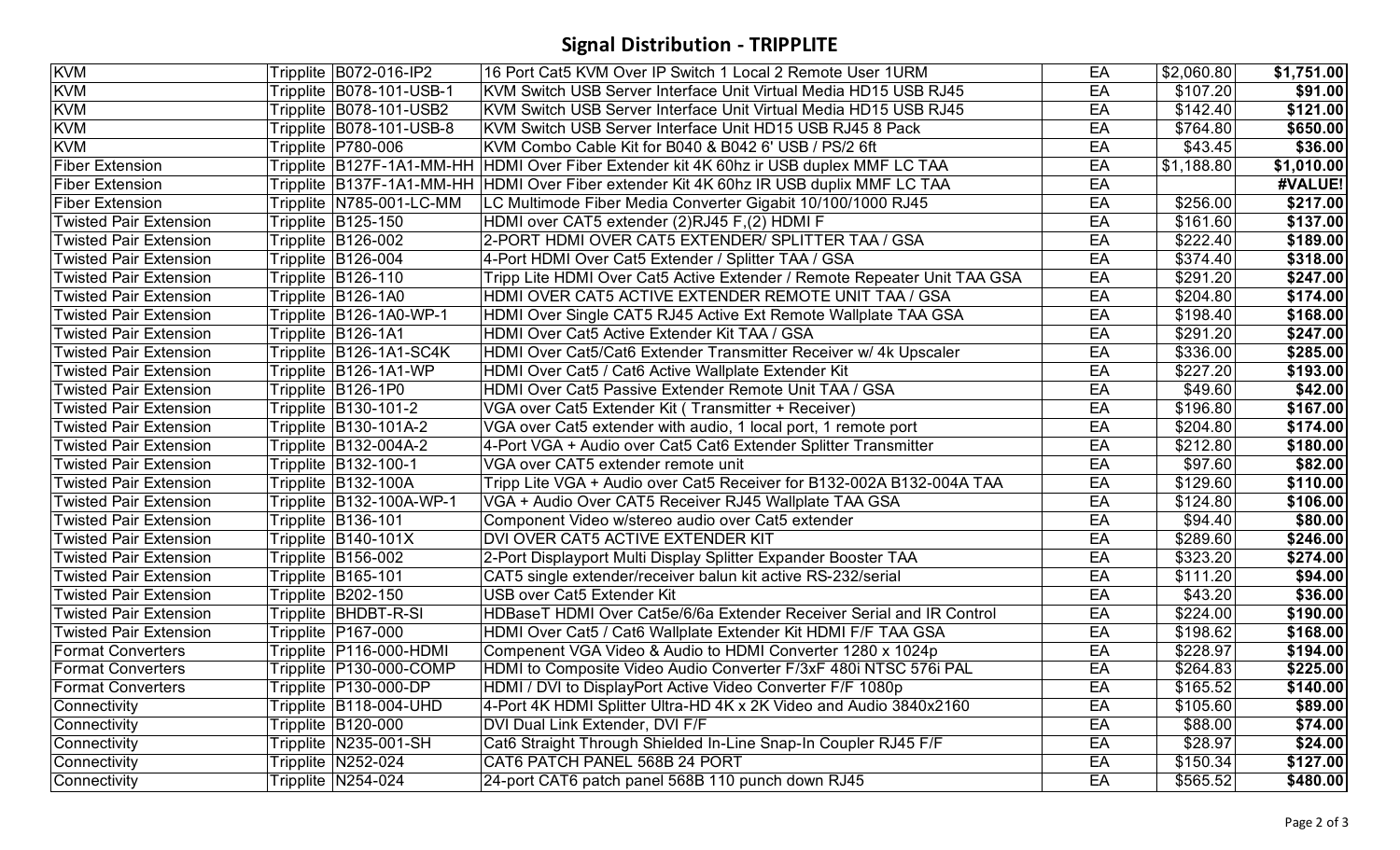## **Signal Distribution - TRIPPLITE**

| <b>KVM</b>                    | Tripplite B072-016-IP2    | 16 Port Cat5 KVM Over IP Switch 1 Local 2 Remote User 1URM                                | EA | \$2,060.80           | \$1,751.00       |
|-------------------------------|---------------------------|-------------------------------------------------------------------------------------------|----|----------------------|------------------|
| <b>KVM</b>                    | Tripplite B078-101-USB-1  | KVM Switch USB Server Interface Unit Virtual Media HD15 USB RJ45                          | EA | \$107.20             | \$91.00          |
| <b>KVM</b>                    | Tripplite B078-101-USB2   | KVM Switch USB Server Interface Unit Virtual Media HD15 USB RJ45                          | EA | \$142.40             | \$121.00         |
| <b>KVM</b>                    | Tripplite B078-101-USB-8  | KVM Switch USB Server Interface Unit HD15 USB RJ45 8 Pack                                 | EA | \$764.80             | \$650.00         |
| <b>KVM</b>                    | Tripplite   P780-006      | KVM Combo Cable Kit for B040 & B042 6' USB / PS/2 6ft                                     | EA | \$43.45              | \$36.00          |
| <b>Fiber Extension</b>        |                           | Tripplite B127F-1A1-MM-HH HDMI Over Fiber Extender kit 4K 60hz ir USB duplex MMF LC TAA   | EA | \$1,188.80           | \$1,010.00       |
| <b>Fiber Extension</b>        |                           | Tripplite  B137F-1A1-MM-HH  HDMI Over Fiber extender Kit 4K 60hz IR USB duplix MMF LC TAA | EA |                      | #VALUE!          |
| <b>Fiber Extension</b>        | Tripplite N785-001-LC-MM  | LC Multimode Fiber Media Converter Gigabit 10/100/1000 RJ45                               | EA | \$256.00             | \$217.00         |
| <b>Twisted Pair Extension</b> | Tripplite B125-150        | HDMI over CAT5 extender (2)RJ45 F,(2) HDMI F                                              | EA | \$161.60             | \$137.00         |
| <b>Twisted Pair Extension</b> | Tripplite B126-002        | 2-PORT HDMI OVER CAT5 EXTENDER/ SPLITTER TAA / GSA                                        | EA | \$222.40             | \$189.00         |
| Twisted Pair Extension        | Tripplite B126-004        | 4-Port HDMI Over Cat5 Extender / Splitter TAA / GSA                                       | EA | \$374.40             | \$318.00         |
| <b>Twisted Pair Extension</b> | Tripplite B126-110        | Tripp Lite HDMI Over Cat5 Active Extender / Remote Repeater Unit TAA GSA                  | EA | \$291.20             | \$247.00         |
| <b>Twisted Pair Extension</b> | Tripplite B126-1A0        | HDMI OVER CAT5 ACTIVE EXTENDER REMOTE UNIT TAA / GSA                                      | EA | \$204.80             | \$174.00         |
| <b>Twisted Pair Extension</b> | Tripplite B126-1A0-WP-1   | HDMI Over Single CAT5 RJ45 Active Ext Remote Wallplate TAA GSA                            | EA | $\overline{$}198.40$ | $\sqrt{5168.00}$ |
| <b>Twisted Pair Extension</b> | Tripplite B126-1A1        | HDMI Over Cat5 Active Extender Kit TAA / GSA                                              | EA | \$291.20             | \$247.00         |
| <b>Twisted Pair Extension</b> | Tripplite B126-1A1-SC4K   | HDMI Over Cat5/Cat6 Extender Transmitter Receiver w/ 4k Upscaler                          | EA | \$336.00             | \$285.00         |
| <b>Twisted Pair Extension</b> | Tripplite B126-1A1-WP     | HDMI Over Cat5 / Cat6 Active Wallplate Extender Kit                                       | EA | \$227.20             | \$193.00         |
| <b>Twisted Pair Extension</b> | Tripplite B126-1P0        | HDMI Over Cat5 Passive Extender Remote Unit TAA / GSA                                     | EA | \$49.60              | \$42.00          |
| <b>Twisted Pair Extension</b> | Tripplite   B130-101-2    | VGA over Cat5 Extender Kit (Transmitter + Receiver)                                       | EA | \$196.80             | \$167.00         |
| <b>Twisted Pair Extension</b> | Tripplite B130-101A-2     | VGA over Cat5 extender with audio, 1 local port, 1 remote port                            | EA | \$204.80             | \$174.00         |
| <b>Twisted Pair Extension</b> | Tripplite B132-004A-2     | 4-Port VGA + Audio over Cat5 Cat6 Extender Splitter Transmitter                           | EA | \$212.80             | \$180.00         |
| <b>Twisted Pair Extension</b> | Tripplite B132-100-1      | VGA over CAT5 extender remote unit                                                        | EA | \$97.60              | \$82.00          |
| <b>Twisted Pair Extension</b> | Tripplite B132-100A       | Tripp Lite VGA + Audio over Cat5 Receiver for B132-002A B132-004A TAA                     | EA | \$129.60             | \$110.00         |
| <b>Twisted Pair Extension</b> | Tripplite B132-100A-WP-1  | VGA + Audio Over CAT5 Receiver RJ45 Wallplate TAA GSA                                     | EA | \$124.80             | \$106.00         |
| <b>Twisted Pair Extension</b> | Tripplite B136-101        | Component Video w/stereo audio over Cat5 extender                                         | EA | \$94.40              | \$80.00          |
| <b>Twisted Pair Extension</b> | Tripplite B140-101X       | DVI OVER CAT5 ACTIVE EXTENDER KIT                                                         | EA | \$289.60             | \$246.00         |
| <b>Twisted Pair Extension</b> | Tripplite B156-002        | 2-Port Displayport Multi Display Splitter Expander Booster TAA                            | EA | \$323.20             | \$274.00         |
| <b>Twisted Pair Extension</b> | Tripplite B165-101        | CAT5 single extender/receiver balun kit active RS-232/serial                              | EA | \$111.20             | \$94.00          |
| <b>Twisted Pair Extension</b> | Tripplite B202-150        | USB over Cat5 Extender Kit                                                                | EA | \$43.20              | \$36.00          |
| <b>Twisted Pair Extension</b> | Tripplite BHDBT-R-SI      | HDBaseT HDMI Over Cat5e/6/6a Extender Receiver Serial and IR Control                      | EA | \$224.00             | \$190.00         |
| Twisted Pair Extension        | Tripplite   P167-000      | HDMI Over Cat5 / Cat6 Wallplate Extender Kit HDMI F/F TAA GSA                             | EA | \$198.62             | \$168.00         |
| <b>Format Converters</b>      | Tripplite   P116-000-HDMI | Compenent VGA Video & Audio to HDMI Converter 1280 x 1024p                                | EA | \$228.97             | \$194.00         |
| <b>Format Converters</b>      | Tripplite P130-000-COMP   | HDMI to Composite Video Audio Converter F/3xF 480i NTSC 576i PAL                          | EA | \$264.83             | \$225.00         |
| <b>Format Converters</b>      | Tripplite P130-000-DP     | HDMI / DVI to DisplayPort Active Video Converter F/F 1080p                                | EA | \$165.52             | \$140.00         |
| Connectivity                  | Tripplite B118-004-UHD    | 4-Port 4K HDMI Splitter Ultra-HD 4K x 2K Video and Audio 3840x2160                        | EA | \$105.60             | \$89.00          |
| Connectivity                  | Tripplite B120-000        | DVI Dual Link Extender, DVI F/F                                                           | EA | \$88.00              | \$74.00          |
| Connectivity                  | Tripplite N235-001-SH     | Cat6 Straight Through Shielded In-Line Snap-In Coupler RJ45 F/F                           | EA | \$28.97              | \$24.00          |
| Connectivity                  | Tripplite N252-024        | CAT6 PATCH PANEL 568B 24 PORT                                                             | EA | \$150.34]            | \$127.00         |
| Connectivity                  | Tripplite N254-024        | 24-port CAT6 patch panel 568B 110 punch down RJ45                                         | EA | \$565.52             | \$480.00         |